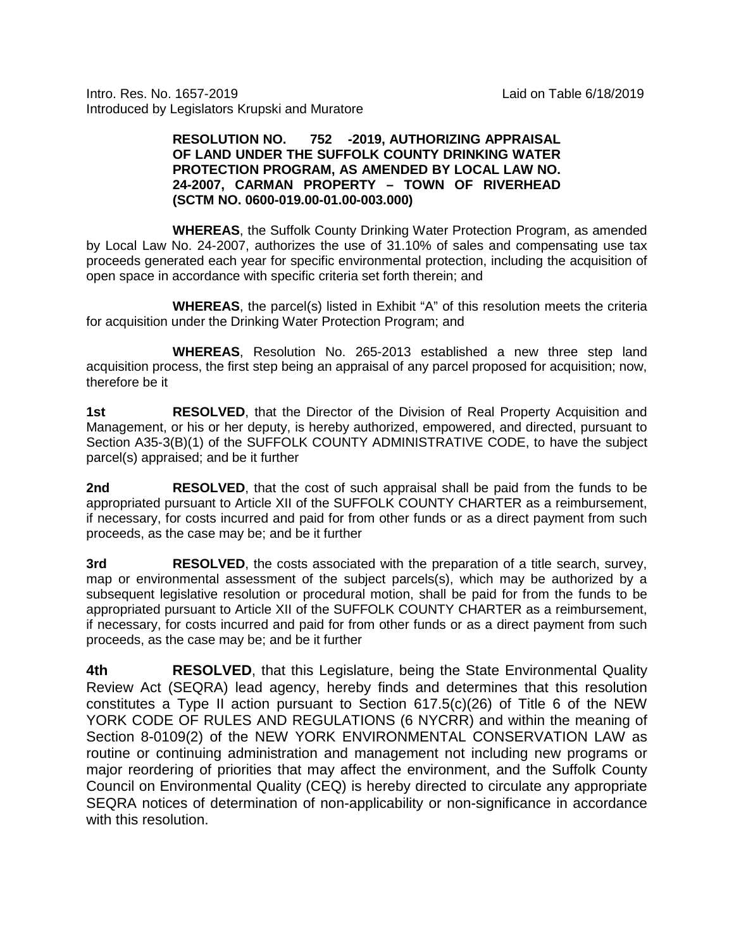Intro. Res. No. 1657-2019 Laid on Table 6/18/2019 Introduced by Legislators Krupski and Muratore

## **RESOLUTION NO. 752 -2019, AUTHORIZING APPRAISAL OF LAND UNDER THE SUFFOLK COUNTY DRINKING WATER PROTECTION PROGRAM, AS AMENDED BY LOCAL LAW NO. 24-2007, CARMAN PROPERTY – TOWN OF RIVERHEAD (SCTM NO. 0600-019.00-01.00-003.000)**

**WHEREAS**, the Suffolk County Drinking Water Protection Program, as amended by Local Law No. 24-2007, authorizes the use of 31.10% of sales and compensating use tax proceeds generated each year for specific environmental protection, including the acquisition of open space in accordance with specific criteria set forth therein; and

**WHEREAS**, the parcel(s) listed in Exhibit "A" of this resolution meets the criteria for acquisition under the Drinking Water Protection Program; and

**WHEREAS**, Resolution No. 265-2013 established a new three step land acquisition process, the first step being an appraisal of any parcel proposed for acquisition; now, therefore be it

**1st <b>RESOLVED**, that the Director of the Division of Real Property Acquisition and Management, or his or her deputy, is hereby authorized, empowered, and directed, pursuant to Section A35-3(B)(1) of the SUFFOLK COUNTY ADMINISTRATIVE CODE, to have the subject parcel(s) appraised; and be it further

**2nd RESOLVED**, that the cost of such appraisal shall be paid from the funds to be appropriated pursuant to Article XII of the SUFFOLK COUNTY CHARTER as a reimbursement, if necessary, for costs incurred and paid for from other funds or as a direct payment from such proceeds, as the case may be; and be it further

**3rd RESOLVED**, the costs associated with the preparation of a title search, survey, map or environmental assessment of the subject parcels(s), which may be authorized by a subsequent legislative resolution or procedural motion, shall be paid for from the funds to be appropriated pursuant to Article XII of the SUFFOLK COUNTY CHARTER as a reimbursement, if necessary, for costs incurred and paid for from other funds or as a direct payment from such proceeds, as the case may be; and be it further

**4th RESOLVED**, that this Legislature, being the State Environmental Quality Review Act (SEQRA) lead agency, hereby finds and determines that this resolution constitutes a Type II action pursuant to Section 617.5(c)(26) of Title 6 of the NEW YORK CODE OF RULES AND REGULATIONS (6 NYCRR) and within the meaning of Section 8-0109(2) of the NEW YORK ENVIRONMENTAL CONSERVATION LAW as routine or continuing administration and management not including new programs or major reordering of priorities that may affect the environment, and the Suffolk County Council on Environmental Quality (CEQ) is hereby directed to circulate any appropriate SEQRA notices of determination of non-applicability or non-significance in accordance with this resolution.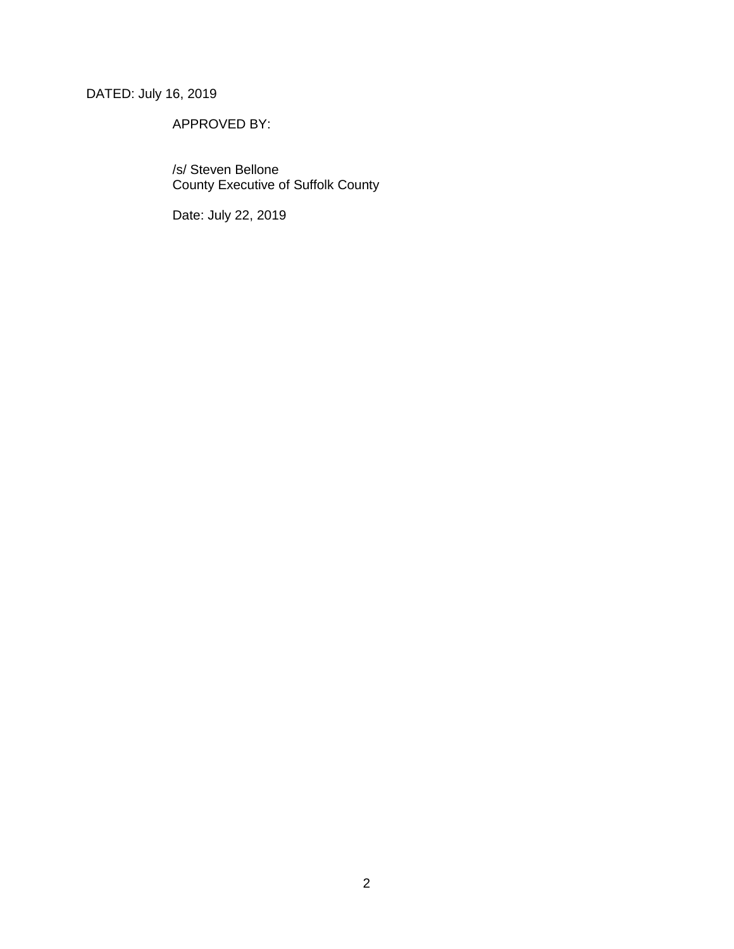# DATED: July 16, 2019

## APPROVED BY:

/s/ Steven Bellone County Executive of Suffolk County

Date: July 22, 2019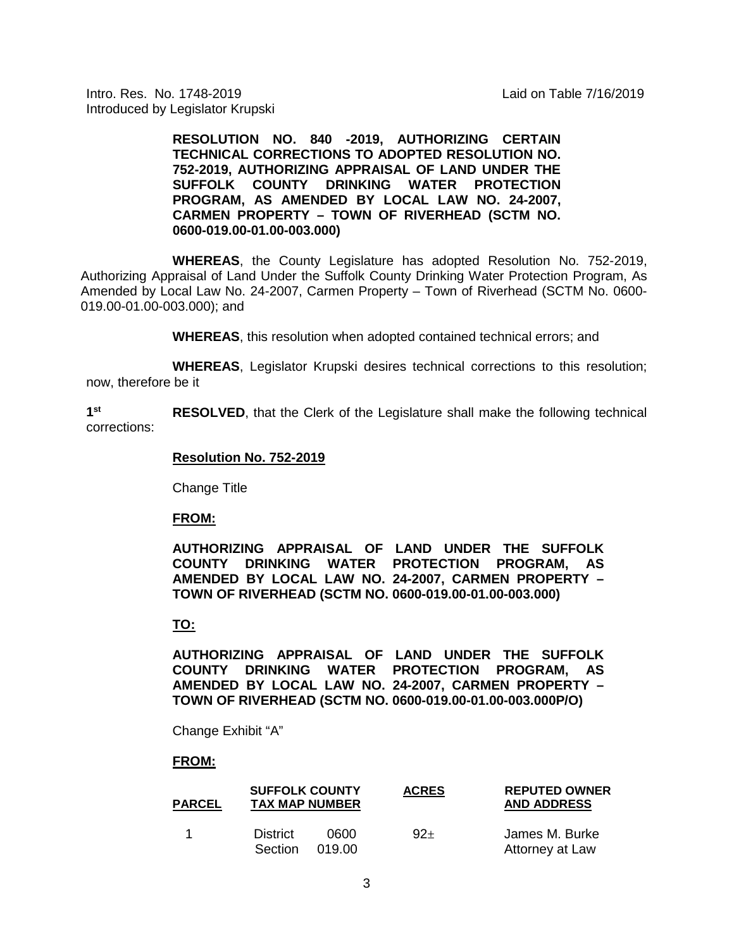Intro. Res. No. 1748-2019 Laid on Table 7/16/2019 Introduced by Legislator Krupski

> **RESOLUTION NO. 840 -2019, AUTHORIZING CERTAIN TECHNICAL CORRECTIONS TO ADOPTED RESOLUTION NO. 752-2019, AUTHORIZING APPRAISAL OF LAND UNDER THE SUFFOLK COUNTY DRINKING WATER PROTECTION PROGRAM, AS AMENDED BY LOCAL LAW NO. 24-2007, CARMEN PROPERTY – TOWN OF RIVERHEAD (SCTM NO. 0600-019.00-01.00-003.000)**

**WHEREAS**, the County Legislature has adopted Resolution No. 752-2019, Authorizing Appraisal of Land Under the Suffolk County Drinking Water Protection Program, As Amended by Local Law No. 24-2007, Carmen Property – Town of Riverhead (SCTM No. 0600- 019.00-01.00-003.000); and

**WHEREAS**, this resolution when adopted contained technical errors; and

**WHEREAS**, Legislator Krupski desires technical corrections to this resolution; now, therefore be it

**1st RESOLVED**, that the Clerk of the Legislature shall make the following technical corrections:

#### **Resolution No. 752-2019**

Change Title

#### **FROM:**

**AUTHORIZING APPRAISAL OF LAND UNDER THE SUFFOLK COUNTY DRINKING WATER PROTECTION PROGRAM, AS AMENDED BY LOCAL LAW NO. 24-2007, CARMEN PROPERTY – TOWN OF RIVERHEAD (SCTM NO. 0600-019.00-01.00-003.000)**

### **TO:**

**AUTHORIZING APPRAISAL OF LAND UNDER THE SUFFOLK COUNTY DRINKING WATER PROTECTION PROGRAM, AS AMENDED BY LOCAL LAW NO. 24-2007, CARMEN PROPERTY – TOWN OF RIVERHEAD (SCTM NO. 0600-019.00-01.00-003.000P/O)**

Change Exhibit "A"

### **FROM:**

| <b>PARCEL</b> | <b>SUFFOLK COUNTY</b><br><b>TAX MAP NUMBER</b> |                | <b>ACRES</b> | <b>REPUTED OWNER</b><br><b>AND ADDRESS</b> |
|---------------|------------------------------------------------|----------------|--------------|--------------------------------------------|
|               | <b>District</b><br><b>Section</b>              | ററെറ<br>019.00 | $92+$        | James M. Burke<br>Attorney at Law          |